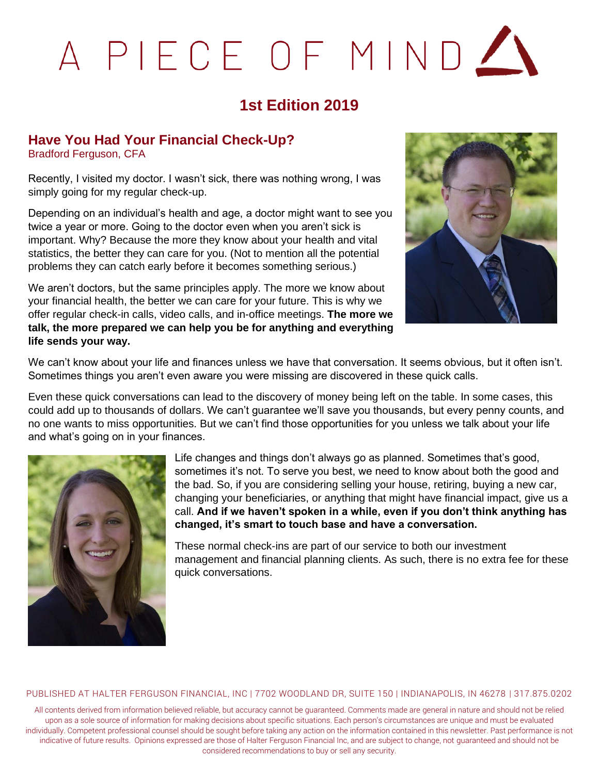# A PIECE OF MIND

## **1st Edition 2019**

## **Have You Had Your Financial Check-Up?**

Bradford Ferguson, CFA

Recently, I visited my doctor. I wasn't sick, there was nothing wrong, I was simply going for my regular check-up.

Depending on an individual's health and age, a doctor might want to see you twice a year or more. Going to the doctor even when you aren't sick is important. Why? Because the more they know about your health and vital statistics, the better they can care for you. (Not to mention all the potential problems they can catch early before it becomes something serious.)

We aren't doctors, but the same principles apply. The more we know about your financial health, the better we can care for your future. This is why we offer regular check-in calls, video calls, and in-office meetings. **The more we talk, the more prepared we can help you be for anything and everything life sends your way.** 



We can't know about your life and finances unless we have that conversation. It seems obvious, but it often isn't. Sometimes things you aren't even aware you were missing are discovered in these quick calls.

Even these quick conversations can lead to the discovery of money being left on the table. In some cases, this could add up to thousands of dollars. We can't guarantee we'll save you thousands, but every penny counts, and no one wants to miss opportunities. But we can't find those opportunities for you unless we talk about your life and what's going on in your finances.



Life changes and things don't always go as planned. Sometimes that's good, sometimes it's not. To serve you best, we need to know about both the good and the bad. So, if you are considering selling your house, retiring, buying a new car, changing your beneficiaries, or anything that might have financial impact, give us a call. **And if we haven't spoken in a while, even if you don't think anything has changed, it's smart to touch base and have a conversation.** 

These normal check-ins are part of our service to both our investment management and financial planning clients. As such, there is no extra fee for these quick conversations.

#### PUBLISHED AT HALTER FERGUSON FINANCIAL, INC | 7702 WOODLAND DR, SUITE 150 | INDIANAPOLIS, IN 46278 | 317.875.0202

All contents derived from information believed reliable, but accuracy cannot be guaranteed. Comments made are general in nature and should not be relied upon as a sole source of information for making decisions about specific situations. Each person's circumstances are unique and must be evaluated individually. Competent professional counsel should be sought before taking any action on the information contained in this newsletter. Past performance is not indicative of future results. Opinions expressed are those of Halter Ferguson Financial Inc, and are subject to change, not guaranteed and should not be considered recommendations to buy or sell any security.